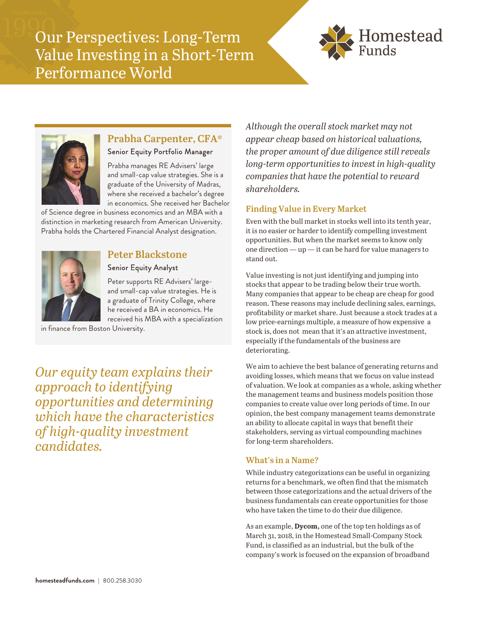Our Perspectives: Long-Term Value Investing in a Short-Term Performance World





# **Prabha Carpenter, CFA®**

Senior Equity Portfolio Manager

Prabha manages RE Advisers' large and small-cap value strategies. She is a graduate of the University of Madras, where she received a bachelor's degree in economics. She received her Bachelor

of Science degree in business economics and an MBA with a distinction in marketing research from American University. Prabha holds the Chartered Financial Analyst designation.



# **Peter Blackstone**

### Senior Equity Analyst

Peter supports RE Advisers' largeand small-cap value strategies. He is a graduate of Trinity College, where he received a BA in economics. He received his MBA with a specialization

in finance from Boston University.

*Our equity team explains their approach to identifying opportunities and determining which have the characteristics of high-quality investment candidates.* 

*Although the overall stock market may not appear cheap based on historical valuations, the proper amount of due diligence still reveals long-term opportunities to invest in high-quality companies that have the potential to reward shareholders.* 

# **Finding Value in Every Market**

Even with the bull market in stocks well into its tenth year, it is no easier or harder to identify compelling investment opportunities. But when the market seems to know only one direction — up — it can be hard for value managers to stand out.

Value investing is not just identifying and jumping into stocks that appear to be trading below their true worth. Many companies that appear to be cheap are cheap for good reason. These reasons may include declining sales, earnings, profitability or market share. Just because a stock trades at a low price-earnings multiple, a measure of how expensive a stock is, does not mean that it's an attractive investment, especially if the fundamentals of the business are deteriorating.

We aim to achieve the best balance of generating returns and avoiding losses, which means that we focus on value instead of valuation. We look at companies as a whole, asking whether the management teams and business models position those companies to create value over long periods of time. In our opinion, the best company management teams demonstrate an ability to allocate capital in ways that benefit their stakeholders, serving as virtual compounding machines for long-term shareholders.

### **What's in a Name?**

While industry categorizations can be useful in organizing returns for a benchmark, we often find that the mismatch between those categorizations and the actual drivers of the business fundamentals can create opportunities for those who have taken the time to do their due diligence.

As an example, **Dycom,** one of the top ten holdings as of March 31, 2018, in the Homestead Small-Company Stock Fund, is classified as an industrial, but the bulk of the company's work is focused on the expansion of broadband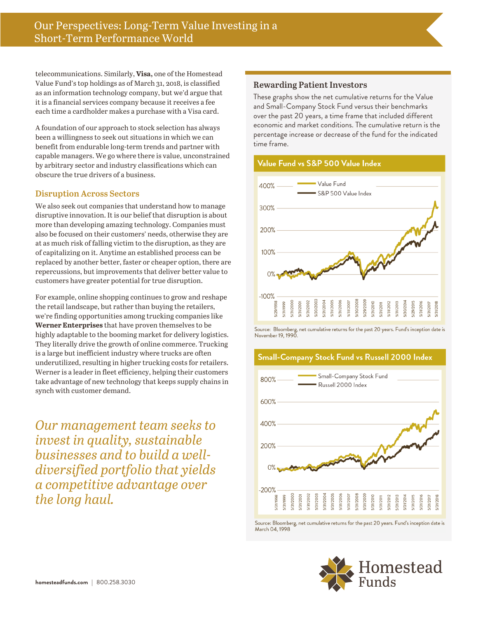telecommunications. Similarly, **Visa,** one of the Homestead Value Fund's top holdings as of March 31, 2018, is classified as an information technology company, but we'd argue that it is a financial services company because it receives a fee each time a cardholder makes a purchase with a Visa card.

A foundation of our approach to stock selection has always been a willingness to seek out situations in which we can benefit from endurable long-term trends and partner with capable managers. We go where there is value, unconstrained by arbitrary sector and industry classifications which can obscure the true drivers of a business.

#### **Disruption Across Sectors**

We also seek out companies that understand how to manage disruptive innovation. It is our belief that disruption is about more than developing amazing technology. Companies must also be focused on their customers' needs, otherwise they are at as much risk of falling victim to the disruption, as they are of capitalizing on it. Anytime an established process can be replaced by another better, faster or cheaper option, there are repercussions, but improvements that deliver better value to customers have greater potential for true disruption.

For example, online shopping continues to grow and reshape the retail landscape, but rather than buying the retailers, we're finding opportunities among trucking companies like **Werner Enterprises** that have proven themselves to be highly adaptable to the booming market for delivery logistics. They literally drive the growth of online commerce. Trucking is a large but inefficient industry where trucks are often underutilized, resulting in higher trucking costs for retailers. Werner is a leader in fleet efficiency, helping their customers take advantage of new technology that keeps supply chains in synch with customer demand.

*Our management team seeks to invest in quality, sustainable businesses and to build a welldiversified portfolio that yields a competitive advantage over the long haul.* 

#### **Rewarding Patient Investors**

These graphs show the net cumulative returns for the Value and Small-Company Stock Fund versus their benchmarks over the past 20 years, a time frame that included different economic and market conditions. The cumulative return is the percentage increase or decrease of the fund for the indicated time frame.

#### Value Fund vs S&P 500 Value Index



Source: Bloomberg, net cumulative returns for the past 20 years. Fund's inception date is November 19, 1990

#### Small-Company Stock Fund vs Russell 2000 Index



Source: Bloomberg, net cumulative returns for the past 20 years. Fund's inception date is March 04, 1998

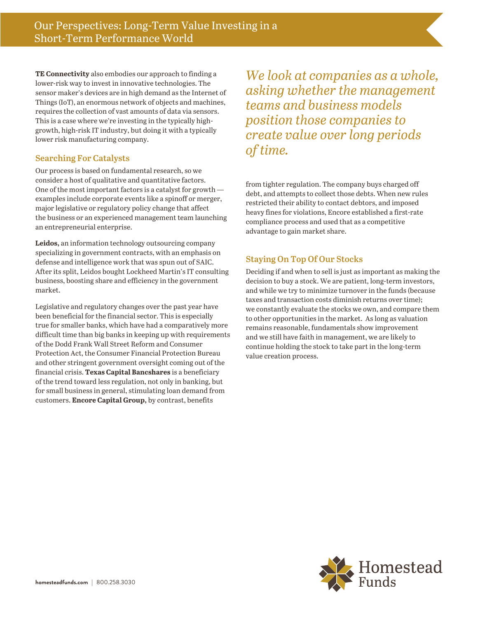**TE Connectivity** also embodies our approach to finding a lower-risk way to invest in innovative technologies. The sensor maker's devices are in high demand as the Internet of Things (IoT), an enormous network of objects and machines, requires the collection of vast amounts of data via sensors. This is a case where we're investing in the typically highgrowth, high-risk IT industry, but doing it with a typically lower risk manufacturing company.

#### **Searching For Catalysts**

Our process is based on fundamental research, so we consider a host of qualitative and quantitative factors. One of the most important factors is a catalyst for growth examples include corporate events like a spinoff or merger, major legislative or regulatory policy change that affect the business or an experienced management team launching an entrepreneurial enterprise.

**Leidos,** an information technology outsourcing company specializing in government contracts, with an emphasis on defense and intelligence work that was spun out of SAIC. After its split, Leidos bought Lockheed Martin's IT consulting business, boosting share and efficiency in the government market.

Legislative and regulatory changes over the past year have been beneficial for the financial sector. This is especially true for smaller banks, which have had a comparatively more difficult time than big banks in keeping up with requirements of the Dodd Frank Wall Street Reform and Consumer Protection Act, the Consumer Financial Protection Bureau and other stringent government oversight coming out of the financial crisis. **Texas Capital Bancshares** is a beneficiary of the trend toward less regulation, not only in banking, but for small business in general, stimulating loan demand from customers. **Encore Capital Group,** by contrast, benefits

*We look at companies as a whole, asking whether the management teams and business models position those companies to create value over long periods of time.* 

from tighter regulation. The company buys charged off debt, and attempts to collect those debts. When new rules restricted their ability to contact debtors, and imposed heavy fines for violations, Encore established a first-rate compliance process and used that as a competitive advantage to gain market share.

# **Staying On Top Of Our Stocks**

Deciding if and when to sell is just as important as making the decision to buy a stock. We are patient, long-term investors, and while we try to minimize turnover in the funds (because taxes and transaction costs diminish returns over time); we constantly evaluate the stocks we own, and compare them to other opportunities in the market. As long as valuation remains reasonable, fundamentals show improvement and we still have faith in management, we are likely to continue holding the stock to take part in the long-term value creation process.